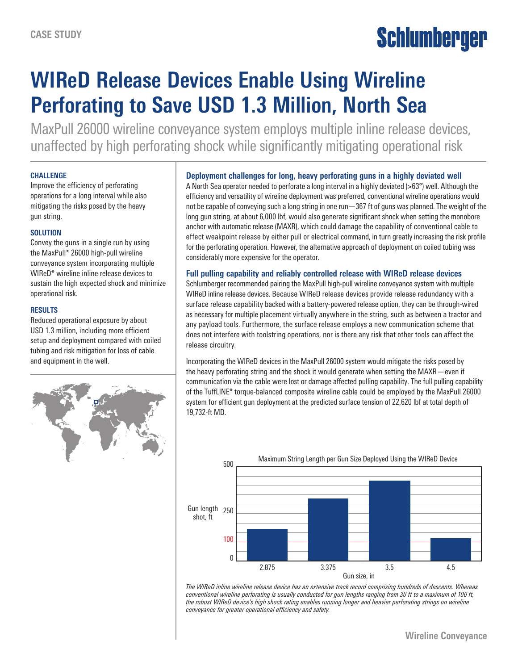# Schlumberger

## **WIReD Release Devices Enable Using Wireline Perforating to Save USD 1.3 Million, North Sea**

MaxPull 26000 wireline conveyance system employs multiple inline release devices, unaffected by high perforating shock while significantly mitigating operational risk

#### **CHALLENGE**

Improve the efficiency of perforating operations for a long interval while also mitigating the risks posed by the heavy gun string.

#### **SOLUTION**

Convey the guns in a single run by using the MaxPull\* 26000 high-pull wireline conveyance system incorporating multiple WIReD\* wireline inline release devices to sustain the high expected shock and minimize operational risk.

#### **RESULTS**

Reduced operational exposure by about USD 1.3 million, including more efficient setup and deployment compared with coiled tubing and risk mitigation for loss of cable and equipment in the well.



### **Deployment challenges for long, heavy perforating guns in a highly deviated well**

A North Sea operator needed to perforate a long interval in a highly deviated (>63°) well. Although the efficiency and versatility of wireline deployment was preferred, conventional wireline operations would not be capable of conveying such a long string in one run—367 ft of guns was planned. The weight of the long gun string, at about 6,000 lbf, would also generate significant shock when setting the monobore anchor with automatic release (MAXR), which could damage the capability of conventional cable to effect weakpoint release by either pull or electrical command, in turn greatly increasing the risk profile for the perforating operation. However, the alternative approach of deployment on coiled tubing was considerably more expensive for the operator.

#### **Full pulling capability and reliably controlled release with WIReD release devices**

Schlumberger recommended pairing the MaxPull high-pull wireline conveyance system with multiple WIReD inline release devices. Because WIReD release devices provide release redundancy with a surface release capability backed with a battery-powered release option, they can be through-wired as necessary for multiple placement virtually anywhere in the string, such as between a tractor and any payload tools. Furthermore, the surface release employs a new communication scheme that does not interfere with toolstring operations, nor is there any risk that other tools can affect the release circuitry.

Incorporating the WIReD devices in the MaxPull 26000 system would mitigate the risks posed by the heavy perforating string and the shock it would generate when setting the MAXR—even if communication via the cable were lost or damage affected pulling capability. The full pulling capability of the TuffLINE\* torque-balanced composite wireline cable could be employed by the MaxPull 26000 system for efficient gun deployment at the predicted surface tension of 22,620 lbf at total depth of 19,732-ft MD.



*The WIReD inline wireline release device has an extensive track record comprising hundreds of descents. Whereas conventional wireline perforating is usually conducted for gun lengths ranging from 30 ft to a maximum of 100 ft, the robust WIReD device's high shock rating enables running longer and heavier perforating strings on wireline conveyance for greater operational efficiency and safety.*